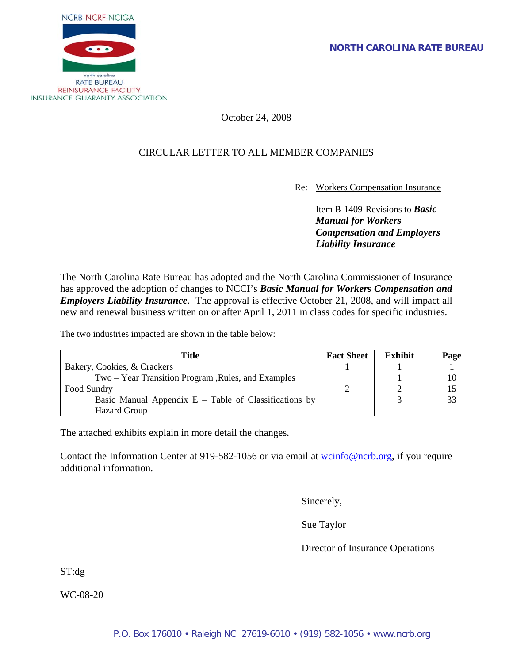

# October 24, 2008

# CIRCULAR LETTER TO ALL MEMBER COMPANIES

Re: Workers Compensation Insurance

Item B-1409-Revisions to *Basic Manual for Workers Compensation and Employers Liability Insurance*

The North Carolina Rate Bureau has adopted and the North Carolina Commissioner of Insurance has approved the adoption of changes to NCCI's *Basic Manual for Workers Compensation and Employers Liability Insurance*. The approval is effective October 21, 2008, and will impact all new and renewal business written on or after April 1, 2011 in class codes for specific industries.

The two industries impacted are shown in the table below:

| Title                                                   | <b>Fact Sheet</b> | <b>Exhibit</b> | Page |
|---------------------------------------------------------|-------------------|----------------|------|
| Bakery, Cookies, & Crackers                             |                   |                |      |
| Two – Year Transition Program , Rules, and Examples     |                   |                |      |
| Food Sundry                                             |                   |                |      |
| Basic Manual Appendix $E$ – Table of Classifications by |                   |                | 33   |
| <b>Hazard Group</b>                                     |                   |                |      |

The attached exhibits explain in more detail the changes.

Contact the Information Center at 919-582-1056 or via email at works of energy or equire additional information.

Sincerely,

Sue Taylor

Director of Insurance Operations

ST:dg

WC-08-20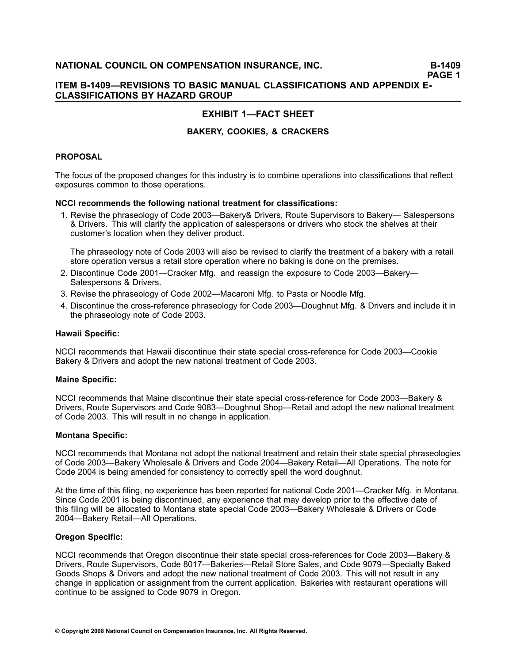### **ITEM B1409—REVISIONS TO BASIC MANUAL CLASSIFICATIONS AND APPENDIX E-CLASSIFICATIONS BY HAZARD GROUP**

# **EXHIBIT 1—FACT SHEET**

### **BAKERY, COOKIES, & CRACKERS**

### **PROPOSAL**

The focus of the proposed changes for this industry is to combine operations into classifications that reflect exposures common to those operations.

### **NCCI recommends the following national treatment for classifications:**

1. Revise the phraseology of Code 2003—Bakery& Drivers, Route Supervisors to Bakery— Salespersons & Drivers. This will clarify the application of salespersons or drivers who stock the shelves at their customer's location when they deliver product.

The phraseology note of Code 2003 will also be revised to clarify the treatment of <sup>a</sup> bakery with <sup>a</sup> retail store operation versus <sup>a</sup> retail store operation where no baking is done on the premises.

- 2. Discontinue Code 2001—Cracker Mfg. and reassign the exposure to Code 2003—Bakery— Salespersons & Drivers.
- 3. Revise the phraseology of Code 2002—Macaroni Mfg. to Pasta or Noodle Mfg.
- 4. Discontinue the cross-reference phraseology for Code 2003—Doughnut Mfg. & Drivers and include it in the phraseology note of Code 2003.

### **Hawaii Specific:**

NCCI recommends that Hawaii discontinue their state special cross-reference for Code 2003—Cookie Bakery & Drivers and adopt the new national treatment of Code 2003.

### **Maine Specific:**

NCCI recommends that Maine discontinue their state special cross-reference for Code 2003—Bakery & Drivers, Route Supervisors and Code 9083—Doughnut Shop—Retail and adopt the new national treatment of Code 2003. This will result in no change in application.

### **Montana Specific:**

NCCI recommends that Montana not adopt the national treatment and retain their state special phraseologies of Code 2003—Bakery Wholesale & Drivers and Code 2004—Bakery Retail—All Operations. The note for Code 2004 is being amended for consistency to correctly spell the word doughnut.

At the time of this filing, no experience has been reported for national Code 2001—Cracker Mfg. in Montana. Since Code 2001 is being discontinued, any experience that may develop prior to the effective date of this filing will be allocated to Montana state special Code 2003—Bakery Wholesale & Drivers or Code 2004—Bakery Retail—All Operations.

### **Oregon Specific:**

NCCI recommends that Oregon discontinue their state special cross-references for Code 2003—Bakery & Drivers, Route Supervisors, Code 8017—Bakeries—Retail Store Sales, and Code 9079—Specialty Baked Goods Shops & Drivers and adopt the new national treatment of Code 2003. This will not result in any change in application or assignment from the current application. Bakeries with restaurant operations will continue to be assigned to Code 9079 in Oregon.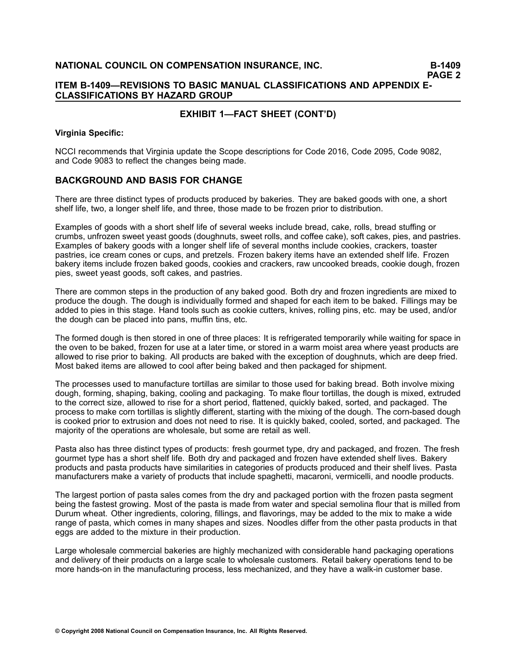### **ITEM B1409—REVISIONS TO BASIC MANUAL CLASSIFICATIONS AND APPENDIX E-CLASSIFICATIONS BY HAZARD GROUP**

### **EXHIBIT 1—FACT SHEET (CONT'D)**

#### **Virginia Specific:**

NCCI recommends that Virginia update the Scope descriptions for Code 2016, Code 2095, Code 9082, and Code 9083 to reflect the changes being made.

### **BACKGROUND AND BASIS FOR CHANGE**

There are three distinct types of products produced by bakeries. They are baked goods with one, <sup>a</sup> short shelf life, two, <sup>a</sup> longer shelf life, and three, those made to be frozen prior to distribution.

Examples of goods with <sup>a</sup> short shelf life of several weeks include bread, cake, rolls, bread stuffing or crumbs, unfrozen sweet yeast goods (doughnuts, sweet rolls, and coffee cake), soft cakes, pies, and pastries. Examples of bakery goods with <sup>a</sup> longer shelf life of several months include cookies, crackers, toaster pastries, ice cream cones or cups, and pretzels. Frozen bakery items have an extended shelf life. Frozen bakery items include frozen baked goods, cookies and crackers, raw uncooked breads, cookie dough, frozen pies, sweet yeast goods, soft cakes, and pastries.

There are common steps in the production of any baked good. Both dry and frozen ingredients are mixed to produce the dough. The dough is individually formed and shaped for each item to be baked. Fillings may be added to pies in this stage. Hand tools such as cookie cutters, knives, rolling pins, etc. may be used, and/or the dough can be placed into pans, muffin tins, etc.

The formed dough is then stored in one of three places: It is refrigerated temporarily while waiting for space in the oven to be baked, frozen for use at <sup>a</sup> later time, or stored in <sup>a</sup> warm moist area where yeast products are allowed to rise prior to baking. All products are baked with the exception of doughnuts, which are deep fried. Most baked items are allowed to cool after being baked and then packaged for shipment.

The processes used to manufacture tortillas are similar to those used for baking bread. Both involve mixing dough, forming, shaping, baking, cooling and packaging. To make flour tortillas, the dough is mixed, extruded to the correct size, allowed to rise for <sup>a</sup> short period, flattened, quickly baked, sorted, and packaged. The process to make corn tortillas is slightly different, starting with the mixing of the dough. The corn-based dough is cooked prior to extrusion and does not need to rise. It is quickly baked, cooled, sorted, and packaged. The majority of the operations are wholesale, but some are retail as well.

Pasta also has three distinct types of products: fresh gourmet type, dry and packaged, and frozen. The fresh gourmet type has <sup>a</sup> short shelf life. Both dry and packaged and frozen have extended shelf lives. Bakery products and pasta products have similarities in categories of products produced and their shelf lives. Pasta manufacturers make <sup>a</sup> variety of products that include spaghetti, macaroni, vermicelli, and noodle products.

The largest portion of pasta sales comes from the dry and packaged portion with the frozen pasta segment being the fastest growing. Most of the pasta is made from water and special semolina flour that is milled from Durum wheat. Other ingredients, coloring, fillings, and flavorings, may be added to the mix to make <sup>a</sup> wide range of pasta, which comes in many shapes and sizes. Noodles differ from the other pasta products in that eggs are added to the mixture in their production.

Large wholesale commercial bakeries are highly mechanized with considerable hand packaging operations and delivery of their products on <sup>a</sup> large scale to wholesale customers. Retail bakery operations tend to be more hands-on in the manufacturing process, less mechanized, and they have a walk-in customer base.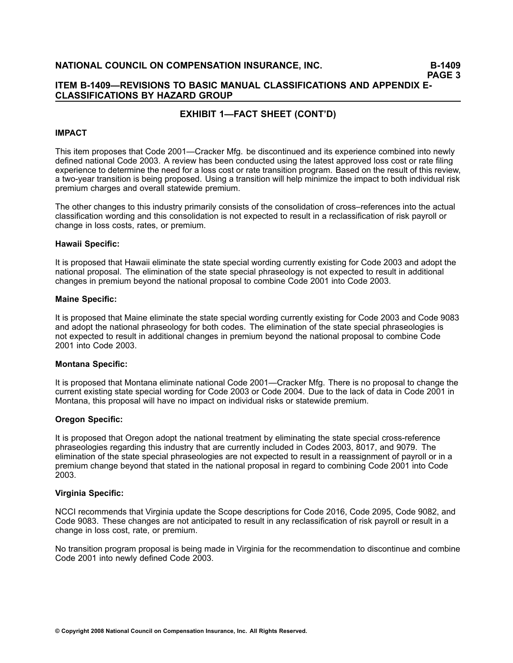### **ITEM B1409—REVISIONS TO BASIC MANUAL CLASSIFICATIONS AND APPENDIX E-CLASSIFICATIONS BY HAZARD GROUP**

### **EXHIBIT 1—FACT SHEET (CONT'D)**

#### **IMPACT**

This item proposes that Code 2001—Cracker Mfg. be discontinued and its experience combined into newly defined national Code 2003. A review has been conducted using the latest approved loss cost or rate filing experience to determine the need for <sup>a</sup> loss cost or rate transition program. Based on the result of this review, a two-year transition is being proposed. Using a transition will help minimize the impact to both individual risk premium charges and overall statewide premium.

The other changes to this industry primarily consists of the consolidation of cross–references into the actual classification wording and this consolidation is not expected to result in <sup>a</sup> reclassification of risk payroll or change in loss costs, rates, or premium.

#### **Hawaii Specific:**

It is proposed that Hawaii eliminate the state special wording currently existing for Code 2003 and adopt the national proposal. The elimination of the state special phraseology is not expected to result in additional changes in premium beyond the national proposal to combine Code 2001 into Code 2003.

#### **Maine Specific:**

It is proposed that Maine eliminate the state special wording currently existing for Code 2003 and Code 9083 and adopt the national phraseology for both codes. The elimination of the state special phraseologies is not expected to result in additional changes in premium beyond the national proposal to combine Code 2001 into Code 2003.

### **Montana Specific:**

It is proposed that Montana eliminate national Code 2001—Cracker Mfg. There is no proposal to change the current existing state special wording for Code 2003 or Code 2004. Due to the lack of data in Code 2001 in Montana, this proposal will have no impact on individual risks or statewide premium.

### **Oregon Specific:**

It is proposed that Oregon adopt the national treatment by eliminating the state special cross-reference phraseologies regarding this industry that are currently included in Codes 2003, 8017, and 9079. The elimination of the state special phraseologies are not expected to result in <sup>a</sup> reassignment of payroll or in <sup>a</sup> premium change beyond that stated in the national proposal in regard to combining Code 2001 into Code 2003.

#### **Virginia Specific:**

NCCI recommends that Virginia update the Scope descriptions for Code 2016, Code 2095, Code 9082, and Code 9083. These changes are not anticipated to result in any reclassification of risk payroll or result in <sup>a</sup> change in loss cost, rate, or premium.

No transition program proposal is being made in Virginia for the recommendation to discontinue and combine Code 2001 into newly defined Code 2003.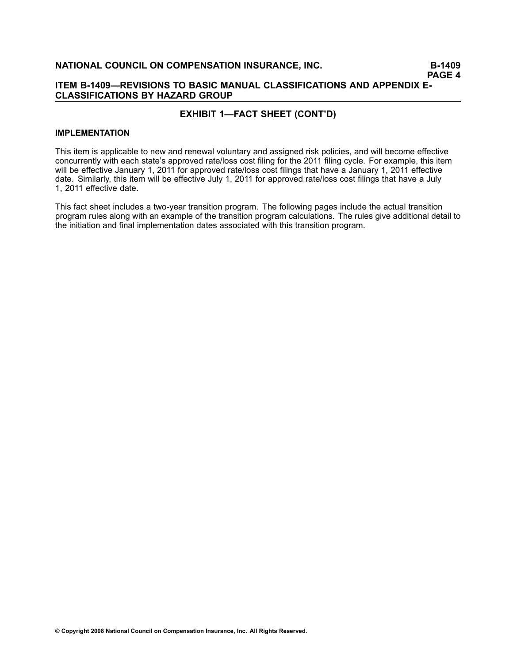### **ITEM B1409—REVISIONS TO BASIC MANUAL CLASSIFICATIONS AND APPENDIX E-CLASSIFICATIONS BY HAZARD GROUP**

### **EXHIBIT 1—FACT SHEET (CONT'D)**

#### **IMPLEMENTATION**

This item is applicable to new and renewal voluntary and assigned risk policies, and will become effective concurrently with each state's approved rate/loss cost filing for the 2011 filing cycle. For example, this item will be effective January 1, 2011 for approved rate/loss cost filings that have <sup>a</sup> January 1, 2011 effective date. Similarly, this item will be effective July 1, 2011 for approved rate/loss cost filings that have <sup>a</sup> July 1, 2011 effective date.

This fact sheet includes a two-year transition program. The following pages include the actual transition program rules along with an example of the transition program calculations. The rules give additional detail to the initiation and final implementation dates associated with this transition program.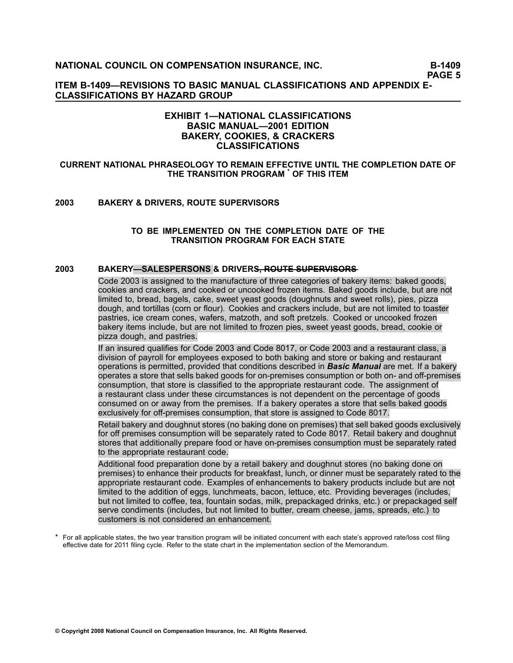**PAGE 5**

**ITEM B1409—REVISIONS TO BASIC MANUAL CLASSIFICATIONS AND APPENDIX E-CLASSIFICATIONS BY HAZARD GROUP**

### **EXHIBIT 1—NATIONAL CLASSIFICATIONS BASIC MANUAL—2001 EDITION BAKERY, COOKIES, & CRACKERS CLASSIFICATIONS**

#### **CURRENT NATIONAL PHRASEOLOGY TO REMAIN EFFECTIVE UNTIL THE COMPLETION DATE OF THE TRANSITION PROGRAM \* OF THIS ITEM**

#### **[2003](file:///C:/manuscript/hyperlink.asp?docid=2003<?Pub & EntityName=amp>manualtitle=scopesxml) BAKERY & DRIVERS, ROUTE SUPERVISORS**

#### **TO BE IMPLEMENTED ON THE COMPLETION DATE OF THE TRANSITION PROGRAM FOR EACH STATE**

### **[2003](file:///C:/manuscript/hyperlink.asp?docid=2003<?Pub & EntityName=amp>manualtitle=scopesxml) BAKERY-SALESPERSONS & DRIVERS<del>, ROUTE SUPERVISORS</del>**

Code 2003 is assigned to the manufacture of three categories of bakery items: baked goods, cookies and crackers, and cooked or uncooked frozen items. Baked goods include, but are not limited to, bread, bagels, cake, sweet yeast goods (doughnuts and sweet rolls), pies, pizza dough, and tortillas (corn or flour). Cookies and crackers include, but are not limited to toaster pastries, ice cream cones, wafers, matzoth, and soft pretzels. Cooked or uncooked frozen bakery items include, but are not limited to frozen pies, sweet yeast goods, bread, cookie or pizza dough, and pastries.

If an insured qualifies for Code 2003 and Code 8017, or Code 2003 and <sup>a</sup> restaurant class, <sup>a</sup> division of payroll for employees exposed to both baking and store or baking and restaurant operations is permitted, provided that conditions described in *Basic Manual* are met. If <sup>a</sup> bakery operates a store that sells baked goods for on-premises consumption or both on- and off-premises consumption, that store is classified to the appropriate restaurant code. The assignment of <sup>a</sup> restaurant class under these circumstances is not dependent on the percentage of goods consumed on or away from the premises. If <sup>a</sup> bakery operates <sup>a</sup> store that sells baked goods exclusively for off-premises consumption, that store is assigned to Code 8017.

Retail bakery and doughnut stores (no baking done on premises) that sell baked goods exclusively for off premises consumption will be separately rated to Code 8017. Retail bakery and doughnut stores that additionally prepare food or have on-premises consumption must be separately rated to the appropriate restaurant code.

Additional food preparation done by <sup>a</sup> retail bakery and doughnut stores (no baking done on premises) to enhance their products for breakfast, lunch, or dinner must be separately rated to the appropriate restaurant code. Examples of enhancements to bakery products include but are not limited to the addition of eggs, lunchmeats, bacon, lettuce, etc. Providing beverages (includes, but not limited to coffee, tea, fountain sodas, milk, prepackaged drinks, etc.) or prepackaged self serve condiments (includes, but not limited to butter, cream cheese, jams, spreads, etc.) to customers is not considered an enhancement.

\* For all applicable states, the two year transition program will be initiated concurrent with each state's approved rate/loss cost filing effective date for 2011 filing cycle. Refer to the state chart in the implementation section of the Memorandum.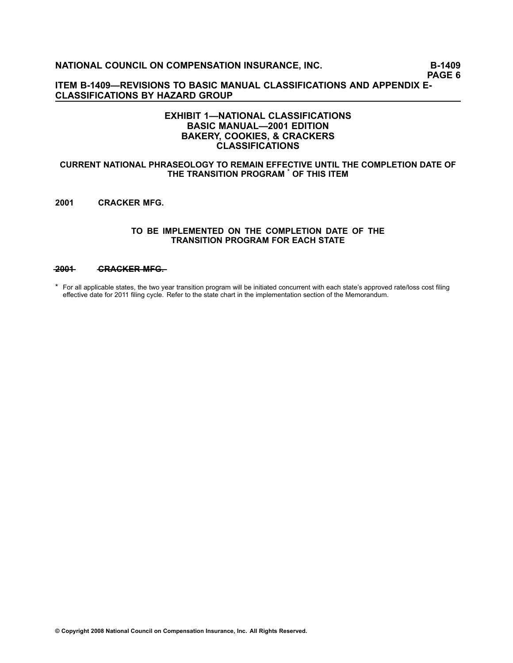**PAGE 6**

**ITEM B1409—REVISIONS TO BASIC MANUAL CLASSIFICATIONS AND APPENDIX E-CLASSIFICATIONS BY HAZARD GROUP**

### **EXHIBIT 1—NATIONAL CLASSIFICATIONS BASIC MANUAL—2001 EDITION BAKERY, COOKIES, & CRACKERS CLASSIFICATIONS**

#### **CURRENT NATIONAL PHRASEOLOGY TO REMAIN EFFECTIVE UNTIL THE COMPLETION DATE OF THE TRANSITION PROGRAM \* OF THIS ITEM**

**2001 CRACKER MFG.**

#### **TO BE IMPLEMENTED ON THE COMPLETION DATE OF THE TRANSITION PROGRAM FOR EACH STATE**

#### **[—2—0—0—1](file:///C:/manuscript/hyperlink.asp?docid=2001<?Pub & EntityName=amp>manualtitle=scopesxml) —C—R—A—C—K—E—R——M—F—G—.**

\* For all applicable states, the two year transition program will be initiated concurrent with each state's approved rate/loss cost filing effective date for 2011 filing cycle. Refer to the state chart in the implementation section of the Memorandum.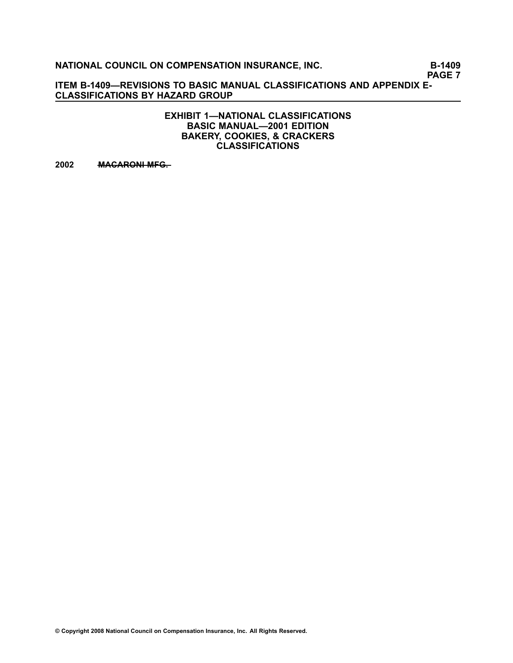**PAGE 7**

**ITEM B1409—REVISIONS TO BASIC MANUAL CLASSIFICATIONS AND APPENDIX E-CLASSIFICATIONS BY HAZARD GROUP**

> **EXHIBIT 1—NATIONAL CLASSIFICATIONS BASIC MANUAL—2001 EDITION BAKERY, COOKIES, & CRACKERS CLASSIFICATIONS**

**[2002](file:///C:/manuscript/hyperlink.asp?docid=2002<?Pub & EntityName=amp>manualtitle=scopesxml) • MACARONI MFG.**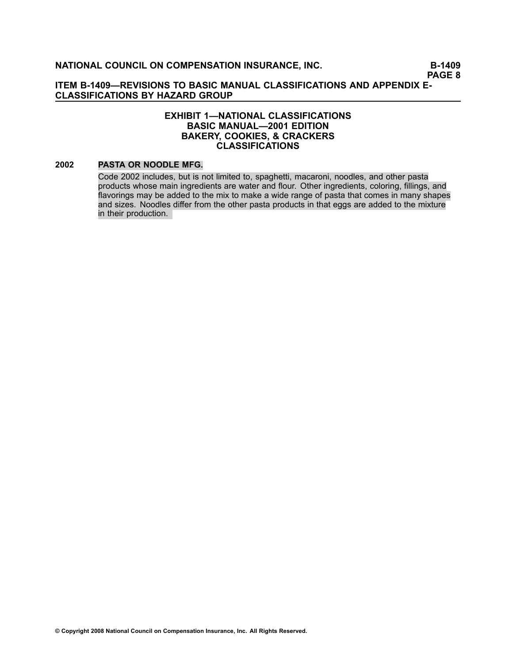### **EXHIBIT 1—NATIONAL CLASSIFICATIONS BASIC MANUAL—2001 EDITION BAKERY, COOKIES, & CRACKERS CLASSIFICATIONS**

### **[2002](file:///C:/manuscript/hyperlink.asp?docid=2002<?Pub & EntityName=amp>manualtitle=scopesxml) PASTA OR NOODLE MFG.**

Code 2002 includes, but is not limited to, spaghetti, macaroni, noodles, and other pasta products whose main ingredients are water and flour. Other ingredients, coloring, fillings, and flavorings may be added to the mix to make <sup>a</sup> wide range of pasta that comes in many shapes and sizes. Noodles differ from the other pasta products in that eggs are added to the mixture in their production.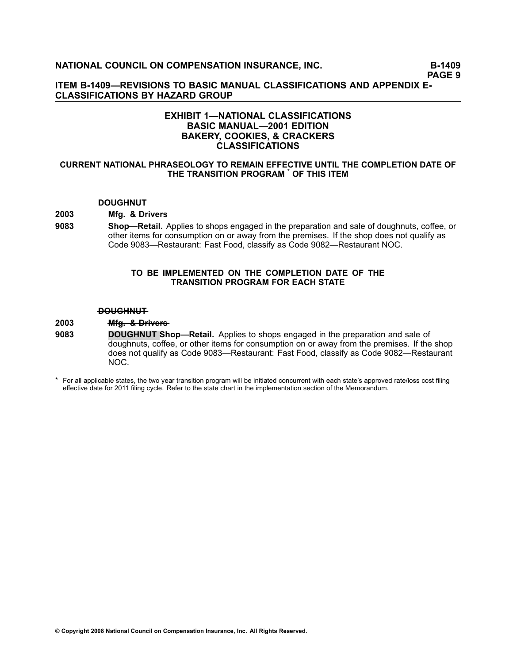**PAGE 9**

**ITEM B1409—REVISIONS TO BASIC MANUAL CLASSIFICATIONS AND APPENDIX E-CLASSIFICATIONS BY HAZARD GROUP**

### **EXHIBIT 1—NATIONAL CLASSIFICATIONS BASIC MANUAL—2001 EDITION BAKERY, COOKIES, & CRACKERS CLASSIFICATIONS**

#### **CURRENT NATIONAL PHRASEOLOGY TO REMAIN EFFECTIVE UNTIL THE COMPLETION DATE OF THE TRANSITION PROGRAM \* OF THIS ITEM**

#### **DOUGHNUT**

### **[2003](file:///C:/manuscript/hyperlink.asp?docid=2003<?Pub & EntityName=amp>manualtitle=scopesxml) Mfg. & Drivers**

**[9083](file:///C:/manuscript/hyperlink.asp?docid=9083<?Pub & EntityName=amp>manualtitle=scopesxml) Shop—Retail.** Applies to shops engaged in the preparation and sale of doughnuts, coffee, or other items for consumption on or away from the premises. If the shop does not qualify as Code [9083](file:///C:/manuscript/hyperlink.asp?docid=9083<?Pub & EntityName=amp>manualtitle=scopesxml)—Restaurant: Fast Food, classify as Code [9082—](file:///C:/manuscript/hyperlink.asp?docid=9082<?Pub & EntityName=amp>manualtitle=scopesxml)Restaurant NOC.

#### **TO BE IMPLEMENTED ON THE COMPLETION DATE OF THE TRANSITION PROGRAM FOR EACH STATE**

#### **—D—O—U—G—H—N—U—T**

#### **[2003](file:///C:/manuscript/hyperlink.asp?docid=2003<?Pub & EntityName=amp>manualtitle=scopesxml) ——Mfg. & Drivers**

- **[9083](file:///C:/manuscript/hyperlink.asp?docid=9083<?Pub & EntityName=amp>manualtitle=scopesxml) DOUGHNUT Shop—Retail.** Applies to shops engaged in the preparation and sale of doughnuts, coffee, or other items for consumption on or away from the premises. If the shop does not qualify as Code [9083](file:///C:/manuscript/hyperlink.asp?docid=9083<?Pub & EntityName=amp>manualtitle=scopesxml)—Restaurant: Fast Food, classify as Code [9082—](file:///C:/manuscript/hyperlink.asp?docid=9082<?Pub & EntityName=amp>manualtitle=scopesxml)Restaurant NOC.
- \* For all applicable states, the two year transition program will be initiated concurrent with each state's approved rate/loss cost filing effective date for 2011 filing cycle. Refer to the state chart in the implementation section of the Memorandum.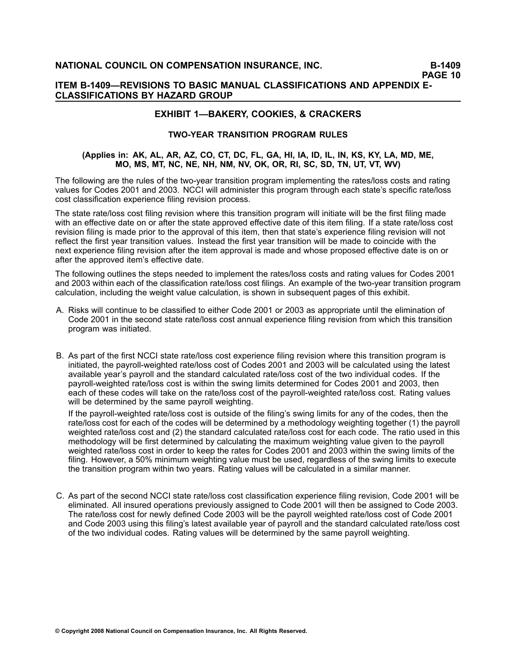### **ITEM B1409—REVISIONS TO BASIC MANUAL CLASSIFICATIONS AND APPENDIX E-CLASSIFICATIONS BY HAZARD GROUP**

### **EXHIBIT 1—BAKERY, COOKIES, & CRACKERS**

### **TWOYEAR TRANSITION PROGRAM RULES**

### (Applies in: AK, AL, AR, AZ, CO, CT, DC, FL, GA, HI, IA, ID, IL, IN, KS, KY, LA, MD, ME, **MO, MS, MT, NC, NE, NH, NM, NV, OK, OR, RI, SC, SD, TN, UT, VT, WV)**

The following are the rules of the two-year transition program implementing the rates/loss costs and rating values for Codes 2001 and 2003. NCCI will administer this program through each state's specific rate/loss cost classification experience filing revision process.

The state rate/loss cost filing revision where this transition program will initiate will be the first filing made with an effective date on or after the state approved effective date of this item filing. If <sup>a</sup> state rate/loss cost revision filing is made prior to the approval of this item, then that state's experience filing revision will not reflect the first year transition values. Instead the first year transition will be made to coincide with the next experience filing revision after the item approval is made and whose proposed effective date is on or after the approved item's effective date.

The following outlines the steps needed to implement the rates/loss costs and rating values for Codes 2001 and 2003 within each of the classification rate/loss cost filings. An example of the two-vear transition program calculation, including the weight value calculation, is shown in subsequent pages of this exhibit.

- A. Risks will continue to be classified to either Code 2001 or 2003 as appropriate until the elimination of Code 2001 in the second state rate/loss cost annual experience filing revision from which this transition program was initiated.
- B. As part of the first NCCI state rate/loss cost experience filing revision where this transition program is initiated, the payroll-weighted rate/loss cost of Codes 2001 and 2003 will be calculated using the latest available year's payroll and the standard calculated rate/loss cost of the two individual codes. If the payroll-weighted rate/loss cost is within the swing limits determined for Codes 2001 and 2003, then each of these codes will take on the rate/loss cost of the payroll-weighted rate/loss cost. Rating values will be determined by the same payroll weighting.

If the payroll-weighted rate/loss cost is outside of the filing's swing limits for any of the codes, then the rate/loss cost for each of the codes will be determined by <sup>a</sup> methodology weighting together (1) the payroll weighted rate/loss cost and (2) the standard calculated rate/loss cost for each code. The ratio used in this methodology will be first determined by calculating the maximum weighting value given to the payroll weighted rate/loss cost in order to keep the rates for Codes 2001 and 2003 within the swing limits of the filing. However, <sup>a</sup> 50% minimum weighting value must be used, regardless of the swing limits to execute the transition program within two years. Rating values will be calculated in <sup>a</sup> similar manner.

C. As part of the second NCCI state rate/loss cost classification experience filing revision, Code 2001 will be eliminated. All insured operations previously assigned to Code 2001 will then be assigned to Code 2003. The rate/loss cost for newly defined Code 2003 will be the payroll weighted rate/loss cost of Code 2001 and Code 2003 using this filing's latest available year of payroll and the standard calculated rate/loss cost of the two individual codes. Rating values will be determined by the same payroll weighting.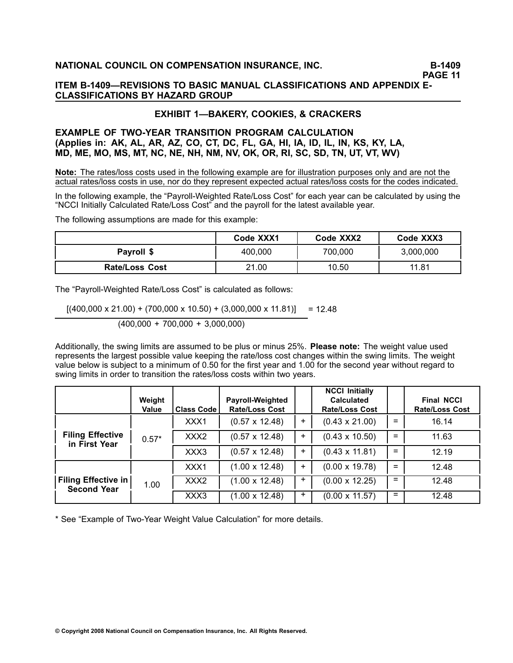# **EXHIBIT 1—BAKERY, COOKIES, & CRACKERS**

### **EXAMPLE OF TWOYEAR TRANSITION PROGRAM CALCULATION (Applies in: AK, AL, AR, AZ, CO, CT, DC, FL, GA, HI, IA, ID, IL, IN, KS, KY, LA, MD, ME, MO, MS, MT, NC, NE, NH, NM, NV, OK, OR, RI, SC, SD, TN, UT, VT, WV)**

**Note:** The rates/loss costs used in the following example are for illustration purposes only and are not the actual rates/loss costs in use, nor do they represent expected actual rates/loss costs for the codes indicated.

In the following example, the "Payroll-Weighted Rate/Loss Cost" for each year can be calculated by using the "NCCI Initially Calculated Rate/Loss Cost" and the payroll for the latest available year.

The following assumptions are made for this example:

|                       | Code XXX1 | Code XXX2 | Code XXX3 |
|-----------------------|-----------|-----------|-----------|
| Payroll \$            | 400.000   | 700,000   | 3,000,000 |
| <b>Rate/Loss Cost</b> | 21.00     | 10.50     | 11.81     |

The "Payroll-Weighted Rate/Loss Cost" is calculated as follows:

 $[(400,000 \times 21.00) + (700,000 \times 10.50) + (3,000,000 \times 11.81)] = 12.48$ 

(400,000 <sup>+</sup> 700,000 <sup>+</sup> 3,000,000)

Additionally, the swing limits are assumed to be plus or minus 25%. **Please note:** The weight value used represents the largest possible value keeping the rate/loss cost changes within the swing limits. The weight value below is subject to <sup>a</sup> minimum of 0.50 for the first year and 1.00 for the second year without regard to swing limits in order to transition the rates/loss costs within two years.

|                                                  | Weight<br><b>Value</b> | <b>Class Code</b> | <b>Payroll-Weighted</b><br><b>Rate/Loss Cost</b> |       | <b>NCCI Initially</b><br><b>Calculated</b><br><b>Rate/Loss Cost</b> |     | <b>Final NCCI</b><br><b>Rate/Loss Cost</b> |
|--------------------------------------------------|------------------------|-------------------|--------------------------------------------------|-------|---------------------------------------------------------------------|-----|--------------------------------------------|
|                                                  | $0.57*$                | XXX1              | $(0.57 \times 12.48)$                            | $+$   | $(0.43 \times 21.00)$                                               | $=$ | 16.14                                      |
| <b>Filing Effective</b><br>in First Year         |                        | XXX <sub>2</sub>  | $(0.57 \times 12.48)$                            | $+$   | $(0.43 \times 10.50)$                                               | $=$ | 11.63                                      |
|                                                  |                        | XXX3              | $(0.57 \times 12.48)$                            | $\pm$ | $(0.43 \times 11.81)$                                               | $=$ | 12.19                                      |
|                                                  |                        | XXX1              | $(1.00 \times 12.48)$                            | $+$   | $(0.00 \times 19.78)$                                               | $=$ | 12.48                                      |
| <b>Filing Effective in</b><br><b>Second Year</b> | 1.00                   | XXX <sub>2</sub>  | $(1.00 \times 12.48)$                            | $+$   | $(0.00 \times 12.25)$                                               | $=$ | 12.48                                      |
|                                                  |                        | XXX3              | $(1.00 \times 12.48)$                            | $+$   | $(0.00 \times 11.57)$                                               | $=$ | 12.48                                      |

\* See "Example of Two-Year Weight Value Calculation" for more details.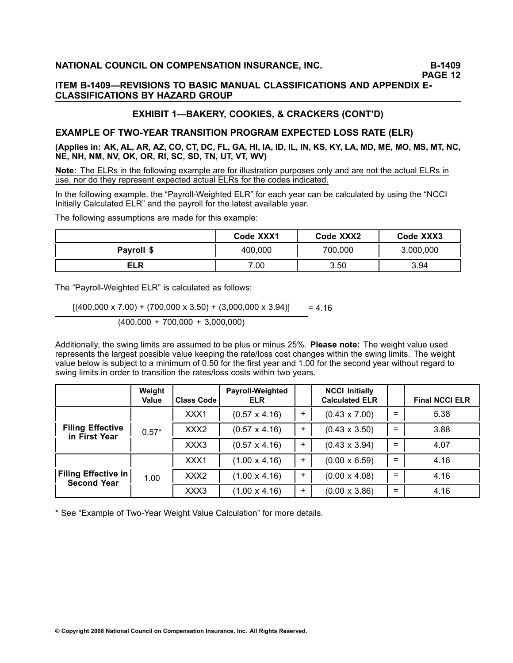**PAGE 12**

### **ITEM B1409—REVISIONS TO BASIC MANUAL CLASSIFICATIONS AND APPENDIX E-CLASSIFICATIONS BY HAZARD GROUP**

# **EXHIBIT 1—BAKERY, COOKIES, & CRACKERS (CONT'D)**

# **EXAMPLE OF TWOYEAR TRANSITION PROGRAM EXPECTED LOSS RATE (ELR)**

(Applies in: AK, AL, AR, AZ, CO, CT, DC, FL, GA, HI, IA, ID, IL, IN, KS, KY, LA, MD, ME, MO, MS, MT, NC, **NE, NH, NM, NV, OK, OR, RI, SC, SD, TN, UT, VT, WV)**

**Note:** The ELRs in the following example are for illustration purposes only and are not the actual ELRs in use, nor do they represent expected actual ELRs for the codes indicated.

In the following example, the "Payroll-Weighted ELR" for each year can be calculated by using the "NCCI Initially Calculated ELR" and the payroll for the latest available year.

The following assumptions are made for this example:

|            | Code XXX1 | Code XXX2 | Code XXX3 |
|------------|-----------|-----------|-----------|
| Payroll \$ | 400,000   | 700,000   | 3,000,000 |
| ELR        | 7.00      | 3.50      | 3.94      |

The "Payroll-Weighted ELR" is calculated as follows:

 $[(400,000 \times 7.00) + (700,000 \times 3.50) + (3,000,000 \times 3.94)] = 4.16$ (400,000 <sup>+</sup> 700,000 <sup>+</sup> 3,000,000)

Additionally, the swing limits are assumed to be plus or minus 25%. **Please note:** The weight value used represents the largest possible value keeping the rate/loss cost changes within the swing limits. The weight value below is subject to <sup>a</sup> minimum of 0.50 for the first year and 1.00 for the second year without regard to swing limits in order to transition the rates/loss costs within two years.

|                                                  | Weight<br><b>Value</b> | <b>Class Code</b> | Payroll-Weighted<br><b>ELR</b> |       | <b>NCCI Initially</b><br><b>Calculated ELR</b> |     | <b>Final NCCI ELR</b> |
|--------------------------------------------------|------------------------|-------------------|--------------------------------|-------|------------------------------------------------|-----|-----------------------|
|                                                  | $0.57*$                | XXX1              | $(0.57 \times 4.16)$           | $\pm$ | $(0.43 \times 7.00)$                           | $=$ | 5.38                  |
| <b>Filing Effective</b><br>in First Year         |                        | XXX <sub>2</sub>  | $(0.57 \times 4.16)$           | $+$   | $(0.43 \times 3.50)$                           | $=$ | 3.88                  |
|                                                  |                        | XXX3              | $(0.57 \times 4.16)$           | $+$   | $(0.43 \times 3.94)$                           | $=$ | 4.07                  |
| <b>Filing Effective in</b><br><b>Second Year</b> |                        | XXX1              | $(1.00 \times 4.16)$           | $+$   | $(0.00 \times 6.59)$                           | $=$ | 4.16                  |
|                                                  | 1.00                   | XXX2              | $(1.00 \times 4.16)$           | $+$   | $(0.00 \times 4.08)$                           | $=$ | 4.16                  |
|                                                  |                        | XXX3              | $(1.00 \times 4.16)$           | $\pm$ | $(0.00 \times 3.86)$                           | $=$ | 4.16                  |

\* See "Example of Two-Year Weight Value Calculation" for more details.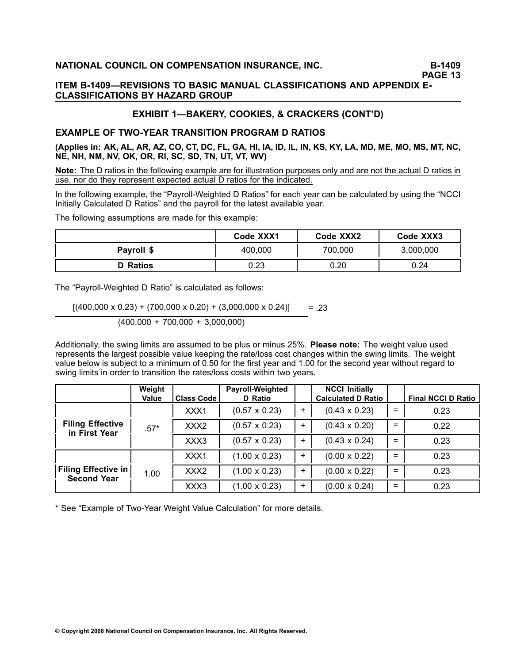### **ITEM B1409—REVISIONS TO BASIC MANUAL CLASSIFICATIONS AND APPENDIX E-CLASSIFICATIONS BY HAZARD GROUP**

# **EXHIBIT 1—BAKERY, COOKIES, & CRACKERS (CONT'D)**

# **EXAMPLE OF TWOYEAR TRANSITION PROGRAM D RATIOS**

(Applies in: AK, AL, AR, AZ, CO, CT, DC, FL, GA, HI, IA, ID, IL, IN, KS, KY, LA, MD, ME, MO, MS, MT, NC, **NE, NH, NM, NV, OK, OR, RI, SC, SD, TN, UT, VT, WV)**

**Note:** The D ratios in the following example are for illustration purposes only and are not the actual D ratios in use, nor do they represent expected actual D ratios for the indicated.

In the following example, the "Payroll-Weighted D Ratios" for each year can be calculated by using the "NCCI Initially Calculated D Ratios" and the payroll for the latest available year.

The following assumptions are made for this example:

|                 | Code XXX1 | Code XXX2 | Code XXX3 |
|-----------------|-----------|-----------|-----------|
| Payroll \$      | 400,000   | 700,000   | 3,000,000 |
| <b>D</b> Ratios | 0.23      | 0.20      | 0.24      |

The "Payroll-Weighted D Ratio" is calculated as follows:

 $[(400,000 \times 0.23) + (700,000 \times 0.20) + (3,000,000 \times 0.24)]$  = .23 (400,000 <sup>+</sup> 700,000 <sup>+</sup> 3,000,000)

Additionally, the swing limits are assumed to be plus or minus 25%. **Please note:** The weight value used represents the largest possible value keeping the rate/loss cost changes within the swing limits. The weight value below is subject to <sup>a</sup> minimum of 0.50 for the first year and 1.00 for the second year without regard to swing limits in order to transition the rates/loss costs within two years.

|                                                  | Weight |                   | <b>Payroll-Weighted</b> |       | <b>NCCI Initially</b>     |     |                           |
|--------------------------------------------------|--------|-------------------|-------------------------|-------|---------------------------|-----|---------------------------|
|                                                  | Value  | <b>Class Code</b> | D Ratio                 |       | <b>Calculated D Ratio</b> |     | <b>Final NCCI D Ratio</b> |
|                                                  |        | XXX1              | $(0.57 \times 0.23)$    | ÷.    | $(0.43 \times 0.23)$      | $=$ | 0.23                      |
| <b>Filing Effective</b><br>in First Year         | $.57*$ | XXX <sub>2</sub>  | $(0.57 \times 0.23)$    | $\pm$ | $(0.43 \times 0.20)$      | $=$ | 0.22                      |
|                                                  |        | XXX3              | $(0.57 \times 0.23)$    | $\pm$ | $(0.43 \times 0.24)$      | $=$ | 0.23                      |
|                                                  |        | XXX1              | $(1.00 \times 0.23)$    | +     | $(0.00 \times 0.22)$      | $=$ | 0.23                      |
| <b>Filing Effective in</b><br><b>Second Year</b> | 1.00   | XXX <sub>2</sub>  | $(1.00 \times 0.23)$    | ÷     | $(0.00 \times 0.22)$      | $=$ | 0.23                      |
|                                                  |        | XXX3              | $(1.00 \times 0.23)$    | $\pm$ | $(0.00 \times 0.24)$      | $=$ | 0.23                      |

\* See "Example of Two-Year Weight Value Calculation" for more details.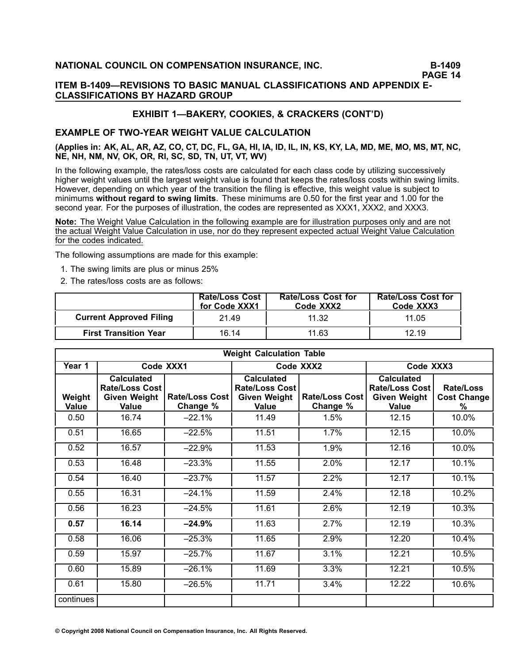### **ITEM B1409—REVISIONS TO BASIC MANUAL CLASSIFICATIONS AND APPENDIX E-CLASSIFICATIONS BY HAZARD GROUP**

# **EXHIBIT 1—BAKERY, COOKIES, & CRACKERS (CONT'D)**

### **EXAMPLE OF TWO-YEAR WEIGHT VALUE CALCULATION**

### (Applies in: AK, AL, AR, AZ, CO, CT, DC, FL, GA, HI, IA, ID, IL, IN, KS, KY, LA, MD, ME, MO, MS, MT, NC, **NE, NH, NM, NV, OK, OR, RI, SC, SD, TN, UT, VT, WV)**

In the following example, the rates/loss costs are calculated for each class code by utilizing successively higher weight values until the largest weight value is found that keeps the rates/loss costs within swing limits. However, depending on which year of the transition the filing is effective, this weight value is subject to minimums **without regard to swing limits**. These minimums are 0.50 for the first year and 1.00 for the second year. For the purposes of illustration, the codes are represented as XXX1, XXX2, and XXX3.

**Note:** The Weight Value Calculation in the following example are for illustration purposes only and are not the actual Weight Value Calculation in use, nor do they represent expected actual Weight Value Calculation for the codes indicated.

The following assumptions are made for this example:

- 1. The swing limits are plus or minus 25%
- 2. The rates/loss costs are as follows:

|                                | <b>Rate/Loss Cost</b><br>for Code XXX1 | <b>Rate/Loss Cost for</b><br>Code XXX2 | <b>Rate/Loss Cost for</b><br>Code XXX3 |
|--------------------------------|----------------------------------------|----------------------------------------|----------------------------------------|
| <b>Current Approved Filing</b> | 21.49                                  | 11.32                                  | 11.05                                  |
| <b>First Transition Year</b>   | 16.14                                  | 11.63                                  | 12.19                                  |

| <b>Weight Calculation Table</b> |                                                                     |                            |                                                                            |                                   |                                                                            |                                             |  |  |
|---------------------------------|---------------------------------------------------------------------|----------------------------|----------------------------------------------------------------------------|-----------------------------------|----------------------------------------------------------------------------|---------------------------------------------|--|--|
| Year 1                          |                                                                     | Code XXX1                  |                                                                            | Code XXX2                         | Code XXX3                                                                  |                                             |  |  |
| Weight<br>Value                 | <b>Calculated</b><br>Rate/Loss Cost<br><b>Given Weight</b><br>Value | Rate/Loss Cost<br>Change % | <b>Calculated</b><br><b>Rate/Loss Cost</b><br><b>Given Weight</b><br>Value | <b>Rate/Loss Cost</b><br>Change % | <b>Calculated</b><br>Rate/Loss Cost<br><b>Given Weight</b><br><b>Value</b> | <b>Rate/Loss</b><br><b>Cost Change</b><br>℅ |  |  |
| 0.50                            | 16.74                                                               | $-22.1%$                   | 11.49                                                                      | 1.5%                              | 12.15                                                                      | 10.0%                                       |  |  |
| 0.51                            | 16.65                                                               | $-22.5%$                   | 11.51                                                                      | 1.7%                              | 12.15                                                                      | 10.0%                                       |  |  |
| 0.52                            | 16.57                                                               | $-22.9%$                   | 11.53                                                                      | 1.9%                              | 12.16                                                                      | 10.0%                                       |  |  |
| 0.53                            | 16.48                                                               | $-23.3%$                   | 11.55                                                                      | 2.0%                              | 12.17                                                                      | 10.1%                                       |  |  |
| 0.54                            | 16.40                                                               | $-23.7%$                   | 11.57                                                                      | 2.2%                              | 12.17                                                                      | 10.1%                                       |  |  |
| 0.55                            | 16.31                                                               | $-24.1%$                   | 11.59                                                                      | 2.4%                              | 12.18                                                                      | 10.2%                                       |  |  |
| 0.56                            | 16.23                                                               | $-24.5%$                   | 11.61                                                                      | 2.6%                              | 12.19                                                                      | 10.3%                                       |  |  |
| 0.57                            | 16.14                                                               | $-24.9%$                   | 11.63                                                                      | 2.7%                              | 12.19                                                                      | 10.3%                                       |  |  |
| 0.58                            | 16.06                                                               | $-25.3%$                   | 11.65                                                                      | 2.9%                              | 12.20                                                                      | 10.4%                                       |  |  |
| 0.59                            | 15.97                                                               | $-25.7%$                   | 11.67                                                                      | 3.1%                              | 12.21                                                                      | 10.5%                                       |  |  |
| 0.60                            | 15.89                                                               | $-26.1%$                   | 11.69                                                                      | 3.3%                              | 12.21                                                                      | 10.5%                                       |  |  |
| 0.61                            | 15.80                                                               | $-26.5%$                   | 11.71                                                                      | 3.4%                              | 12.22                                                                      | 10.6%                                       |  |  |
| continues                       |                                                                     |                            |                                                                            |                                   |                                                                            |                                             |  |  |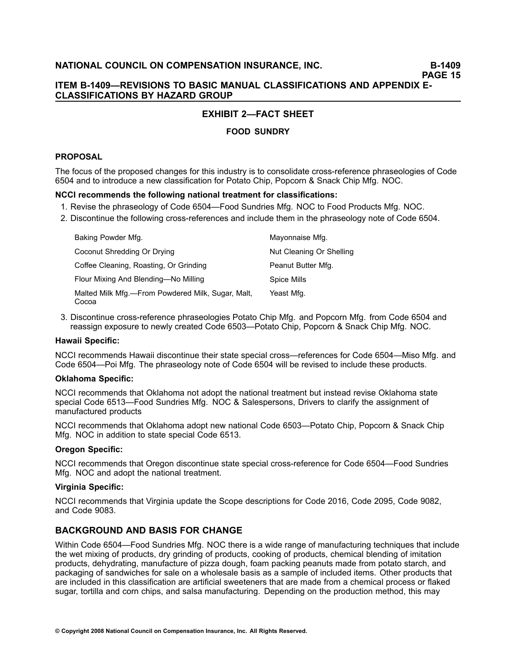# **EXHIBIT 2—FACT SHEET**

# **FOOD SUNDRY**

### **PROPOSAL**

The focus of the proposed changes for this industry is to consolidate cross-reference phraseologies of Code 6504 and to introduce <sup>a</sup> new classification for Potato Chip, Popcorn & Snack Chip Mfg. NOC.

### **NCCI recommends the following national treatment for classifications:**

- 1. Revise the phraseology of Code 6504—Food Sundries Mfg. NOC to Food Products Mfg. NOC.
- 2. Discontinue the following cross-references and include them in the phraseology note of Code 6504.

| Baking Powder Mfg.                                         | Mayonnaise Mfg.          |
|------------------------------------------------------------|--------------------------|
| Coconut Shredding Or Drying                                | Nut Cleaning Or Shelling |
| Coffee Cleaning, Roasting, Or Grinding                     | Peanut Butter Mfg.       |
| Flour Mixing And Blending—No Milling                       | Spice Mills              |
| Malted Milk Mfg.—From Powdered Milk, Sugar, Malt,<br>Cocoa | Yeast Mfg.               |

3. Discontinue crossreference phraseologies Potato Chip Mfg. and Popcorn Mfg. from Code 6504 and reassign exposure to newly created Code 6503—Potato Chip, Popcorn & Snack Chip Mfg. NOC.

### **Hawaii Specific:**

NCCI recommends Hawaii discontinue their state special cross—references for Code 6504—Miso Mfg. and Code 6504—Poi Mfg. The phraseology note of Code 6504 will be revised to include these products.

### **Oklahoma Specific:**

NCCI recommends that Oklahoma not adopt the national treatment but instead revise Oklahoma state special Code 6513—Food Sundries Mfg. NOC & Salespersons, Drivers to clarify the assignment of manufactured products

NCCI recommends that Oklahoma adopt new national Code 6503—Potato Chip, Popcorn & Snack Chip Mfg. NOC in addition to state special Code 6513.

### **Oregon Specific:**

NCCI recommends that Oregon discontinue state special cross-reference for Code 6504—Food Sundries Mfg. NOC and adopt the national treatment.

### **Virginia Specific:**

NCCI recommends that Virginia update the Scope descriptions for Code 2016, Code 2095, Code 9082, and Code 9083.

### **BACKGROUND AND BASIS FOR CHANGE**

Within Code 6504—Food Sundries Mfg. NOC there is <sup>a</sup> wide range of manufacturing techniques that include the wet mixing of products, dry grinding of products, cooking of products, chemical blending of imitation products, dehydrating, manufacture of pizza dough, foam packing peanuts made from potato starch, and packaging of sandwiches for sale on <sup>a</sup> wholesale basis as <sup>a</sup> sample of included items. Other products that are included in this classification are artificial sweeteners that are made from <sup>a</sup> chemical process or flaked sugar, tortilla and corn chips, and salsa manufacturing. Depending on the production method, this may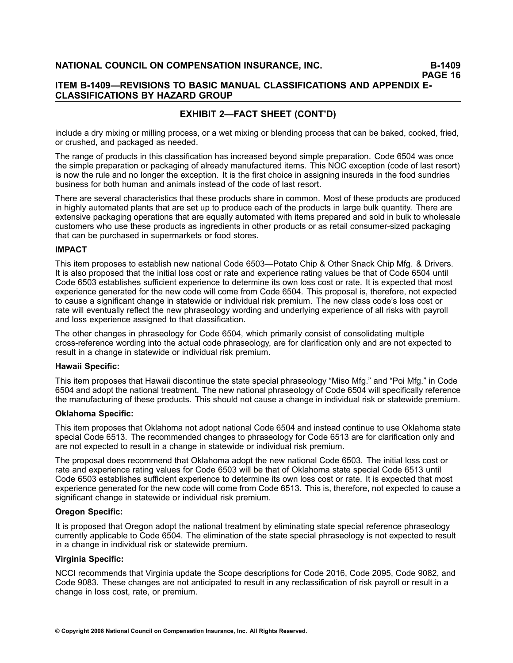### **ITEM B1409—REVISIONS TO BASIC MANUAL CLASSIFICATIONS AND APPENDIX E-CLASSIFICATIONS BY HAZARD GROUP**

# **EXHIBIT 2—FACT SHEET (CONT'D)**

include <sup>a</sup> dry mixing or milling process, or <sup>a</sup> wet mixing or blending process that can be baked, cooked, fried, or crushed, and packaged as needed.

The range of products in this classification has increased beyond simple preparation. Code 6504 was once the simple preparation or packaging of already manufactured items. This NOC exception (code of last resort) is now the rule and no longer the exception. It is the first choice in assigning insureds in the food sundries business for both human and animals instead of the code of last resort.

There are several characteristics that these products share in common. Most of these products are produced in highly automated plants that are set up to produce each of the products in large bulk quantity. There are extensive packaging operations that are equally automated with items prepared and sold in bulk to wholesale customers who use these products as ingredients in other products or as retail consumer-sized packaging that can be purchased in supermarkets or food stores.

### **IMPACT**

This item proposes to establish new national Code 6503—Potato Chip & Other Snack Chip Mfg. & Drivers. It is also proposed that the initial loss cost or rate and experience rating values be that of Code 6504 until Code 6503 establishes sufficient experience to determine its own loss cost or rate. It is expected that most experience generated for the new code will come from Code 6504. This proposal is, therefore, not expected to cause <sup>a</sup> significant change in statewide or individual risk premium. The new class code's loss cost or rate will eventually reflect the new phraseology wording and underlying experience of all risks with payroll and loss experience assigned to that classification.

The other changes in phraseology for Code 6504, which primarily consist of consolidating multiple crossreference wording into the actual code phraseology, are for clarification only and are not expected to result in <sup>a</sup> change in statewide or individual risk premium.

### **Hawaii Specific:**

This item proposes that Hawaii discontinue the state special phraseology "Miso Mfg." and "Poi Mfg." in Code 6504 and adopt the national treatment. The new national phraseology of Code 6504 will specifically reference the manufacturing of these products. This should not cause <sup>a</sup> change in individual risk or statewide premium.

### **Oklahoma Specific:**

This item proposes that Oklahoma not adopt national Code 6504 and instead continue to use Oklahoma state special Code 6513. The recommended changes to phraseology for Code 6513 are for clarification only and are not expected to result in <sup>a</sup> change in statewide or individual risk premium.

The proposal does recommend that Oklahoma adopt the new national Code 6503. The initial loss cost or rate and experience rating values for Code 6503 will be that of Oklahoma state special Code 6513 until Code 6503 establishes sufficient experience to determine its own loss cost or rate. It is expected that most experience generated for the new code will come from Code 6513. This is, therefore, not expected to cause <sup>a</sup> significant change in statewide or individual risk premium.

### **Oregon Specific:**

It is proposed that Oregon adopt the national treatment by eliminating state special reference phraseology currently applicable to Code 6504. The elimination of the state special phraseology is not expected to result in <sup>a</sup> change in individual risk or statewide premium.

### **Virginia Specific:**

NCCI recommends that Virginia update the Scope descriptions for Code 2016, Code 2095, Code 9082, and Code 9083. These changes are not anticipated to result in any reclassification of risk payroll or result in <sup>a</sup> change in loss cost, rate, or premium.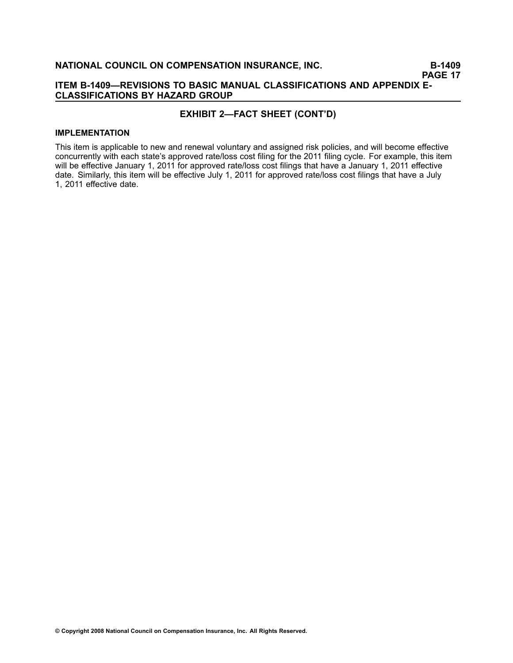### **ITEM B1409—REVISIONS TO BASIC MANUAL CLASSIFICATIONS AND APPENDIX E-CLASSIFICATIONS BY HAZARD GROUP**

### **EXHIBIT 2—FACT SHEET (CONT'D)**

#### **IMPLEMENTATION**

This item is applicable to new and renewal voluntary and assigned risk policies, and will become effective concurrently with each state's approved rate/loss cost filing for the 2011 filing cycle. For example, this item will be effective January 1, 2011 for approved rate/loss cost filings that have a January 1, 2011 effective date. Similarly, this item will be effective July 1, 2011 for approved rate/loss cost filings that have <sup>a</sup> July 1, 2011 effective date.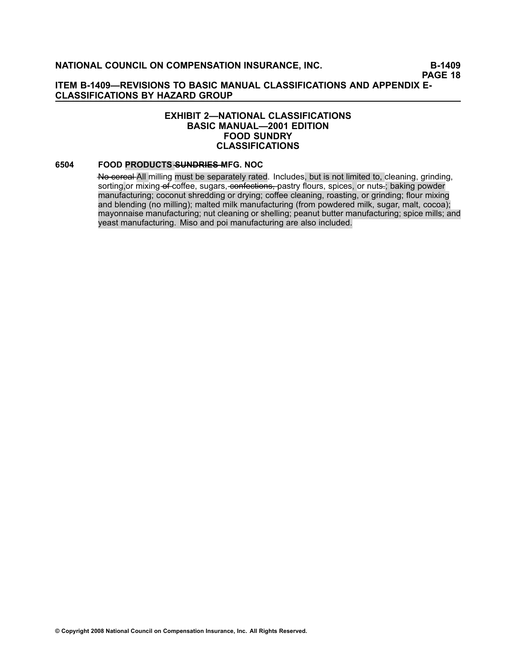### **EXHIBIT 2—NATIONAL CLASSIFICATIONS BASIC MANUAL—2001 EDITION FOOD SUNDRY CLASSIFICATIONS**

### **[6504](file:///C:/manuscript/hyperlink.asp?docid=6504<?Pub & EntityName=amp>manualtitle=scopesxml) FOOD PRODUCTS SUNDRIES MFG. NOC**

He cereal All milling must be separately rated. Includes, but is not limited to, cleaning, grinding, sorting,or mixing-of-coffee, sugars, confections, pastry flours, spices, or nuts .; baking powder manufacturing; coconut shredding or drying; coffee cleaning, roasting, or grinding; flour mixing and blending (no milling); malted milk manufacturing (from powdered milk, sugar, malt, cocoa); mayonnaise manufacturing; nut cleaning or shelling; peanut butter manufacturing; spice mills; and yeast manufacturing. Miso and poi manufacturing are also included.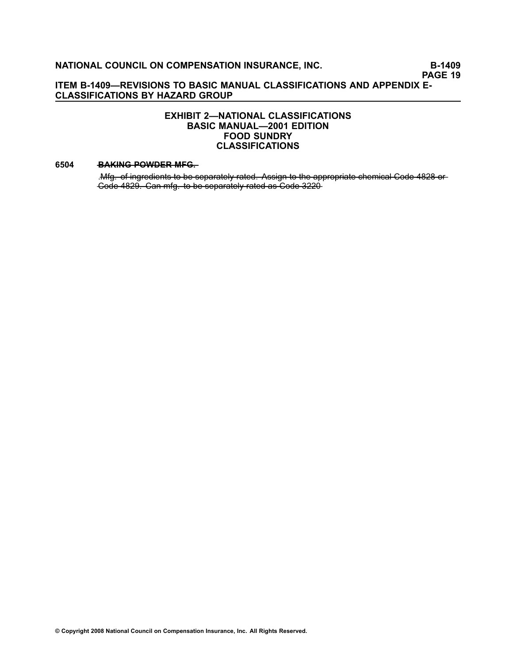### **EXHIBIT 2—NATIONAL CLASSIFICATIONS BASIC MANUAL—2001 EDITION FOOD SUNDRY CLASSIFICATIONS**

#### **[6504](file:///C:/manuscript/hyperlink.asp?docid=6504<?Pub & EntityName=amp>manualtitle=scopesxml) BAKING POWDER MFG.**

.Mfg. of ingredients to be separately rated. Assign to the appropriate chemical Code 4828 or —C—o—d—e**—**[—4—8—2—9—](file:///C:/manuscript/hyperlink.asp?docid=4829<?Pub & EntityName=amp>manualtitle=scopesxml)**—**. —C—a—n**—**—m—f—g—**—**.—t—o**—**—b—e**—**—s—e—p—a—r—a—t—e——ly**—**—r—a—t—e—d**—**—a—s**—**—C—o—d—e**—**[—3—2—2—0](file:///C:/manuscript/hyperlink.asp?docid=3220<?Pub & EntityName=amp>manualtitle=scopesxml)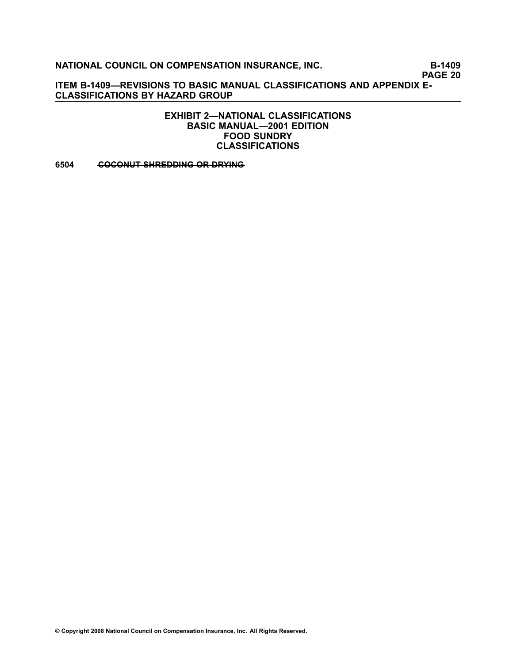**PAGE 20**

**ITEM B1409—REVISIONS TO BASIC MANUAL CLASSIFICATIONS AND APPENDIX E-CLASSIFICATIONS BY HAZARD GROUP**

> **EXHIBIT 2—NATIONAL CLASSIFICATIONS BASIC MANUAL—2001 EDITION FOOD SUNDRY CLASSIFICATIONS**

**[6504](file:///C:/manuscript/hyperlink.asp?docid=6504<?Pub & EntityName=amp>manualtitle=scopesxml) • COCONUT SHREDDING OR DRYING**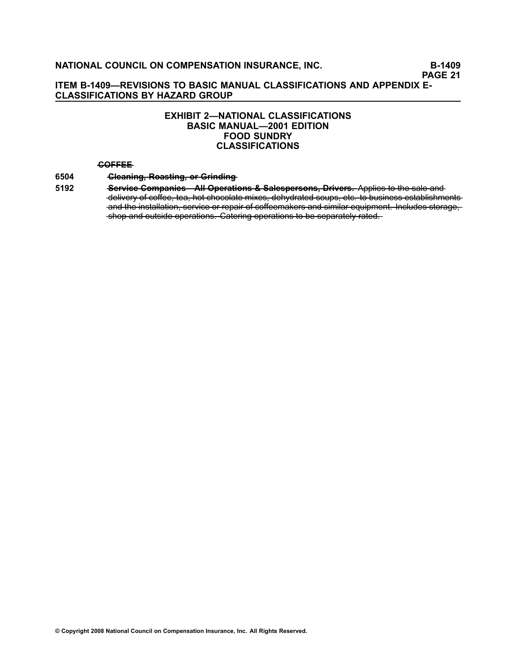### **EXHIBIT 2—NATIONAL CLASSIFICATIONS BASIC MANUAL—2001 EDITION FOOD SUNDRY CLASSIFICATIONS**

#### **—C—O—F—F—E—E**

#### **[6504](file:///C:/manuscript/hyperlink.asp?docid=6504<?Pub & EntityName=amp>manualtitle=scopesxml) — Cleaning, Reasting, or Grinding**

**[5192](file:///C:/manuscript/hyperlink.asp?docid=5192<?Pub & EntityName=amp>manualtitle=scopesxml) —Service Companies—AII Operations & Salespersons, Drivers. Applies to the sale and** delivery of coffee, tea, hot chocolate mixes, dehydrated soups, etc. to business establishments and the installation, service or repair of coffeemakers and similar equipment. Includes storage,  $\frac{1}{2}$  shop and outside operations. Catering operations to be separately rated.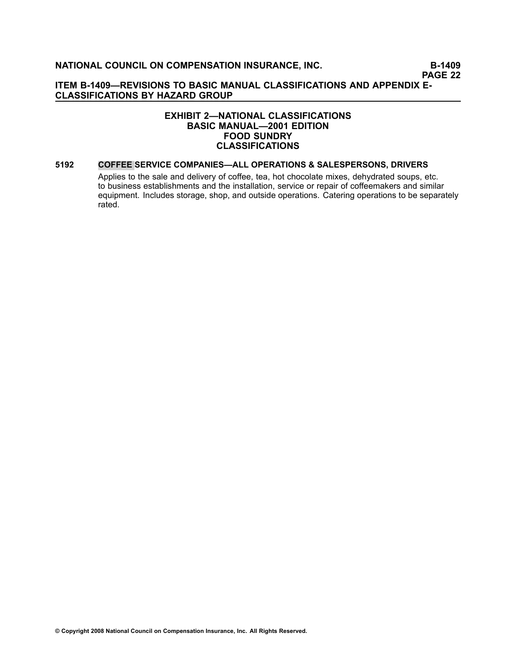### **EXHIBIT 2—NATIONAL CLASSIFICATIONS BASIC MANUAL—2001 EDITION FOOD SUNDRY CLASSIFICATIONS**

#### **[5192](file:///C:/manuscript/hyperlink.asp?docid=5192<?Pub & EntityName=amp>manualtitle=scopesxml) COFFEE SERVICE COMPANIES—ALL OPERATIONS & SALESPERSONS, DRIVERS**

Applies to the sale and delivery of coffee, tea, hot chocolate mixes, dehydrated soups, etc. to business establishments and the installation, service or repair of coffeemakers and similar equipment. Includes storage, shop, and outside operations. Catering operations to be separately rated.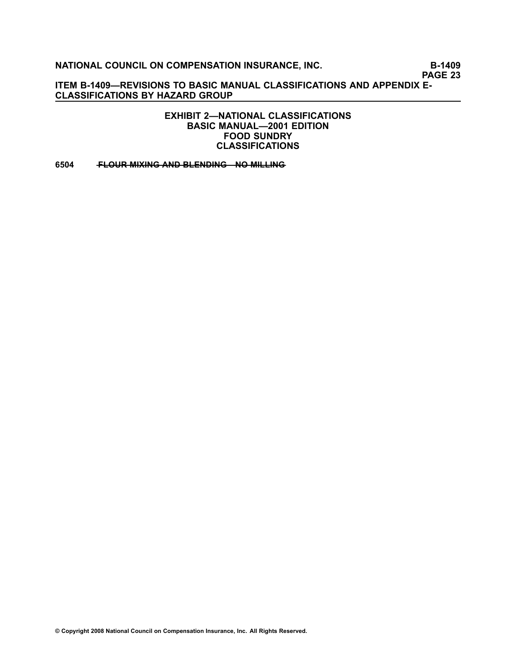**PAGE 23**

**ITEM B1409—REVISIONS TO BASIC MANUAL CLASSIFICATIONS AND APPENDIX E-CLASSIFICATIONS BY HAZARD GROUP**

> **EXHIBIT 2—NATIONAL CLASSIFICATIONS BASIC MANUAL—2001 EDITION FOOD SUNDRY CLASSIFICATIONS**

**[6504](file:///C:/manuscript/hyperlink.asp?docid=6504<?Pub & EntityName=amp>manualtitle=scopesxml) • FLOUR MIXING AND BLENDING NO MILLING**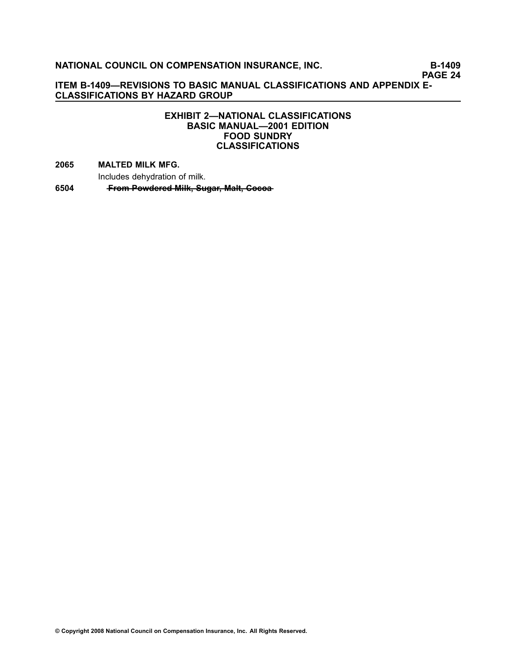# **PAGE 24**

**ITEM B1409—REVISIONS TO BASIC MANUAL CLASSIFICATIONS AND APPENDIX E-CLASSIFICATIONS BY HAZARD GROUP**

### **EXHIBIT 2—NATIONAL CLASSIFICATIONS BASIC MANUAL—2001 EDITION FOOD SUNDRY CLASSIFICATIONS**

**[2065](file:///C:/manuscript/hyperlink.asp?docid=2065<?Pub & EntityName=amp>manualtitle=scopesxml) MALTED MILK MFG.**

Includes dehydration of milk.

**[6504](file:///C:/manuscript/hyperlink.asp?docid=6504<?Pub & EntityName=amp>manualtitle=scopesxml) •• From Powdered Milk, Sugar, Malt, Cocoa**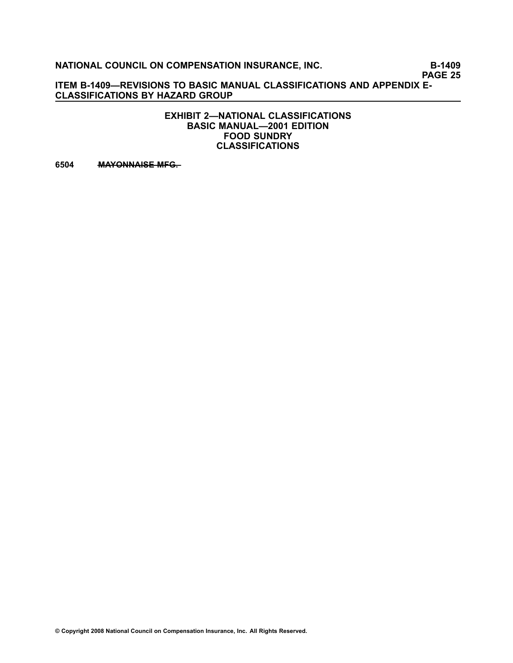**PAGE 25**

**ITEM B1409—REVISIONS TO BASIC MANUAL CLASSIFICATIONS AND APPENDIX E-CLASSIFICATIONS BY HAZARD GROUP**

> **EXHIBIT 2—NATIONAL CLASSIFICATIONS BASIC MANUAL—2001 EDITION FOOD SUNDRY CLASSIFICATIONS**

**[6504](file:///C:/manuscript/hyperlink.asp?docid=6504<?Pub & EntityName=amp>manualtitle=scopesxml)** MAYONNAISE MFG.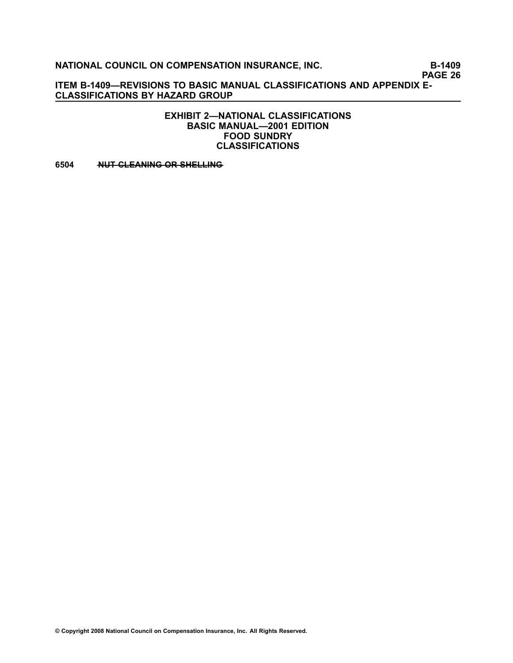**PAGE 26**

**ITEM B1409—REVISIONS TO BASIC MANUAL CLASSIFICATIONS AND APPENDIX E-CLASSIFICATIONS BY HAZARD GROUP**

> **EXHIBIT 2—NATIONAL CLASSIFICATIONS BASIC MANUAL—2001 EDITION FOOD SUNDRY CLASSIFICATIONS**

**[6504](file:///C:/manuscript/hyperlink.asp?docid=6504<?Pub & EntityName=amp>manualtitle=scopesxml) • AUT CLEANING OR SHELLING**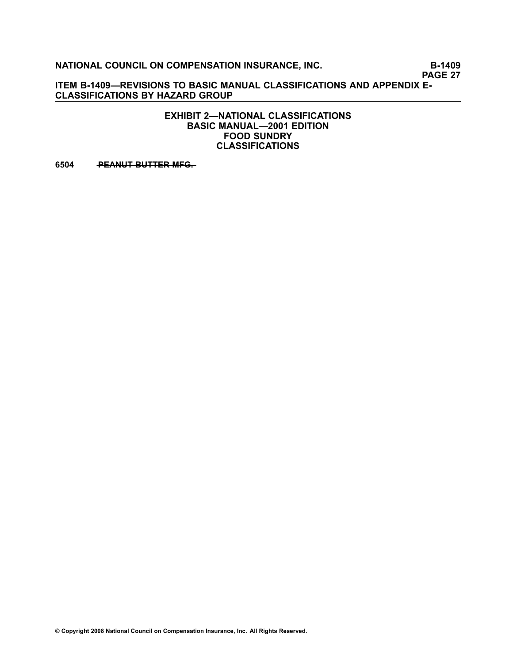**PAGE 27**

**ITEM B1409—REVISIONS TO BASIC MANUAL CLASSIFICATIONS AND APPENDIX E-CLASSIFICATIONS BY HAZARD GROUP**

> **EXHIBIT 2—NATIONAL CLASSIFICATIONS BASIC MANUAL—2001 EDITION FOOD SUNDRY CLASSIFICATIONS**

**[6504](file:///C:/manuscript/hyperlink.asp?docid=6504<?Pub & EntityName=amp>manualtitle=scopesxml) PEANUT BUTTER MFG.**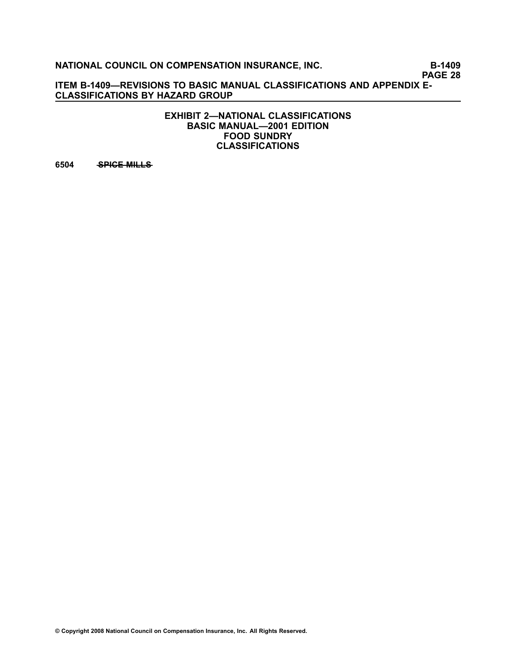**PAGE 28**

**ITEM B1409—REVISIONS TO BASIC MANUAL CLASSIFICATIONS AND APPENDIX E-CLASSIFICATIONS BY HAZARD GROUP**

> **EXHIBIT 2—NATIONAL CLASSIFICATIONS BASIC MANUAL—2001 EDITION FOOD SUNDRY CLASSIFICATIONS**

**[6504](file:///C:/manuscript/hyperlink.asp?docid=6504<?Pub & EntityName=amp>manualtitle=scopesxml)** • SPICE MILLS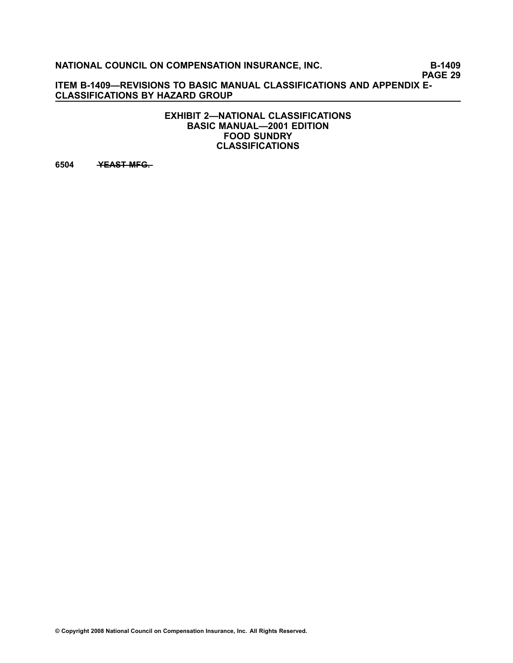**PAGE 29**

**ITEM B1409—REVISIONS TO BASIC MANUAL CLASSIFICATIONS AND APPENDIX E-CLASSIFICATIONS BY HAZARD GROUP**

> **EXHIBIT 2—NATIONAL CLASSIFICATIONS BASIC MANUAL—2001 EDITION FOOD SUNDRY CLASSIFICATIONS**

**[6504](file:///C:/manuscript/hyperlink.asp?docid=6504<?Pub & EntityName=amp>manualtitle=scopesxml) — YEAST MFG.**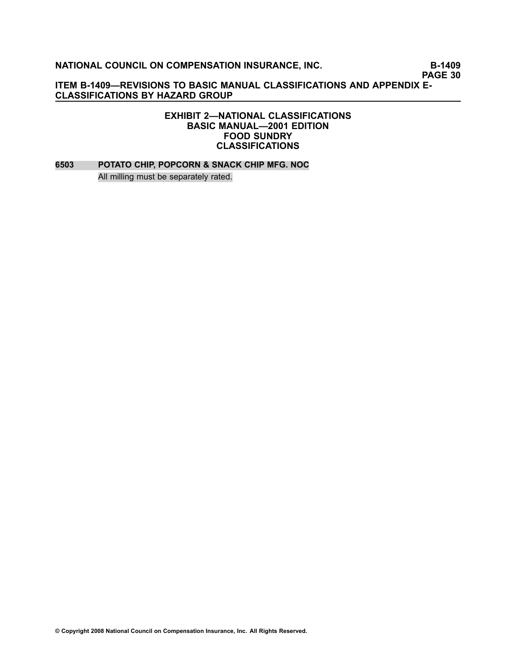**PAGE 30**

**ITEM B1409—REVISIONS TO BASIC MANUAL CLASSIFICATIONS AND APPENDIX E-CLASSIFICATIONS BY HAZARD GROUP**

### **EXHIBIT 2—NATIONAL CLASSIFICATIONS BASIC MANUAL—2001 EDITION FOOD SUNDRY CLASSIFICATIONS**

**[6503](file:///C:/manuscript/hyperlink.asp?docid=6503<?Pub & EntityName=amp>manualtitle=scopesxml) POTATO CHIP, POPCORN & SNACK CHIP MFG. NOC** All milling must be separately rated.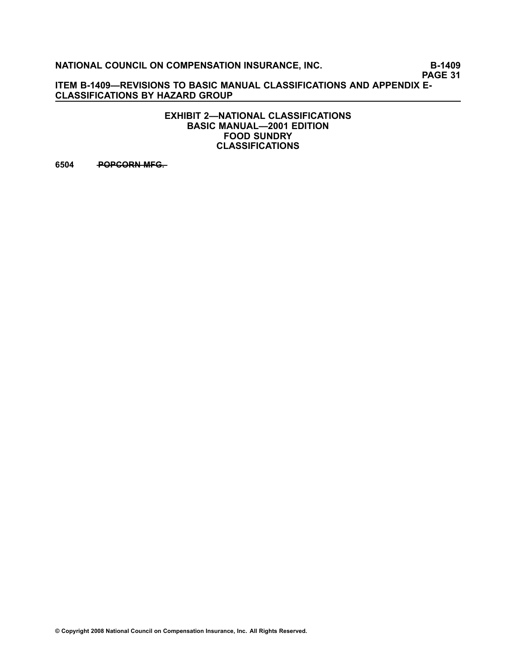**PAGE 31**

**ITEM B1409—REVISIONS TO BASIC MANUAL CLASSIFICATIONS AND APPENDIX E-CLASSIFICATIONS BY HAZARD GROUP**

> **EXHIBIT 2—NATIONAL CLASSIFICATIONS BASIC MANUAL—2001 EDITION FOOD SUNDRY CLASSIFICATIONS**

**[6504](file:///C:/manuscript/hyperlink.asp?docid=6504<?Pub & EntityName=amp>manualtitle=scopesxml) — POPCORN MFG.**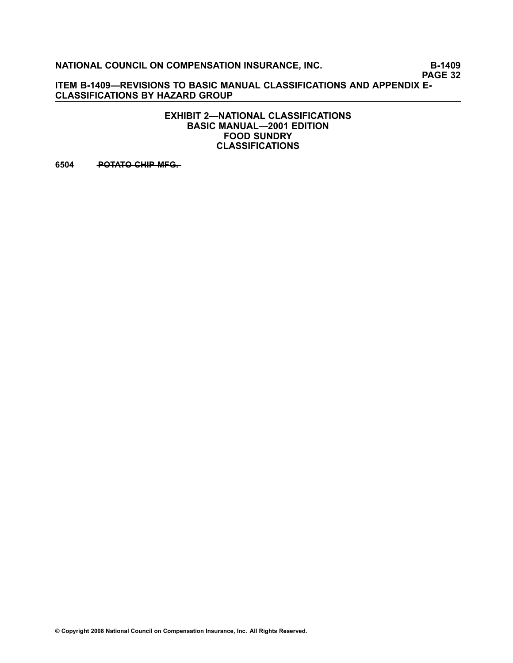**PAGE 32**

**ITEM B1409—REVISIONS TO BASIC MANUAL CLASSIFICATIONS AND APPENDIX E-CLASSIFICATIONS BY HAZARD GROUP**

> **EXHIBIT 2—NATIONAL CLASSIFICATIONS BASIC MANUAL—2001 EDITION FOOD SUNDRY CLASSIFICATIONS**

[6504](file:///C:/manuscript/hyperlink.asp?docid=6504<?Pub & EntityName=amp>manualtitle=scopesxml) **POTATO CHIP MFG.**